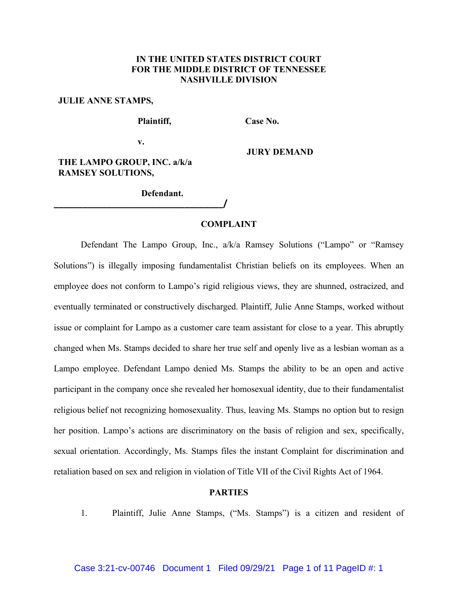# **IN THE UNITED STATES DISTRICT COURT FOR THE MIDDLE DISTRICT OF TENNESSEE NASHVILLE DIVISION**

#### **JULIE ANNE STAMPS,**

**Plaintiff, Case No.** 

**v.**

**JURY DEMAND**

# **THE LAMPO GROUP, INC. a/k/a RAMSEY SOLUTIONS,**

**Defendant.**

**\_\_\_\_\_\_\_\_\_\_\_\_\_\_\_\_\_\_\_\_\_\_\_\_\_\_\_\_\_\_\_\_\_\_\_/**

### **COMPLAINT**

Defendant The Lampo Group, Inc., a/k/a Ramsey Solutions ("Lampo" or "Ramsey Solutions") is illegally imposing fundamentalist Christian beliefs on its employees. When an employee does not conform to Lampo's rigid religious views, they are shunned, ostracized, and eventually terminated or constructively discharged. Plaintiff, Julie Anne Stamps, worked without issue or complaint for Lampo as a customer care team assistant for close to a year. This abruptly changed when Ms. Stamps decided to share her true self and openly live as a lesbian woman as a Lampo employee. Defendant Lampo denied Ms. Stamps the ability to be an open and active participant in the company once she revealed her homosexual identity, due to their fundamentalist religious belief not recognizing homosexuality. Thus, leaving Ms. Stamps no option but to resign her position. Lampo's actions are discriminatory on the basis of religion and sex, specifically, sexual orientation. Accordingly, Ms. Stamps files the instant Complaint for discrimination and retaliation based on sex and religion in violation of Title VII of the Civil Rights Act of 1964.

#### **PARTIES**

1. Plaintiff, Julie Anne Stamps, ("Ms. Stamps") is a citizen and resident of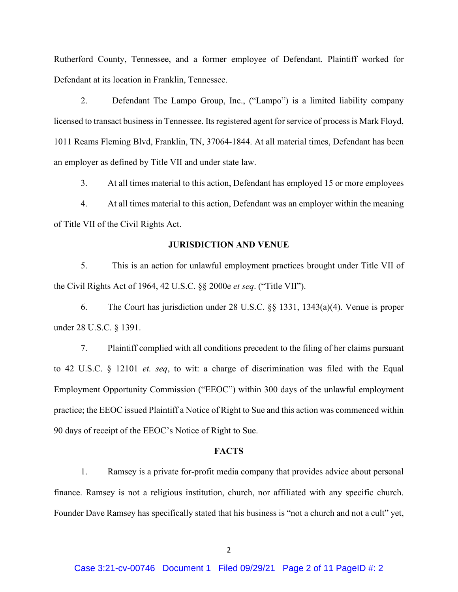Rutherford County, Tennessee, and a former employee of Defendant. Plaintiff worked for Defendant at its location in Franklin, Tennessee.

2. Defendant The Lampo Group, Inc., ("Lampo") is a limited liability company licensed to transact business in Tennessee. Its registered agent for service of process is Mark Floyd, 1011 Reams Fleming Blvd, Franklin, TN, 37064-1844. At all material times, Defendant has been an employer as defined by Title VII and under state law.

3. At all times material to this action, Defendant has employed 15 or more employees

4. At all times material to this action, Defendant was an employer within the meaning of Title VII of the Civil Rights Act.

#### **JURISDICTION AND VENUE**

5. This is an action for unlawful employment practices brought under Title VII of the Civil Rights Act of 1964, 42 U.S.C. §§ 2000e *et seq*. ("Title VII").

6. The Court has jurisdiction under 28 U.S.C. §§ 1331, 1343(a)(4). Venue is proper under 28 U.S.C. § 1391.

7. Plaintiff complied with all conditions precedent to the filing of her claims pursuant to 42 U.S.C. § 12101 *et. seq*, to wit: a charge of discrimination was filed with the Equal Employment Opportunity Commission ("EEOC") within 300 days of the unlawful employment practice; the EEOC issued Plaintiff a Notice of Right to Sue and this action was commenced within 90 days of receipt of the EEOC's Notice of Right to Sue.

#### **FACTS**

1. Ramsey is a private for-profit media company that provides advice about personal finance. Ramsey is not a religious institution, church, nor affiliated with any specific church. Founder Dave Ramsey has specifically stated that his business is "not a church and not a cult" yet,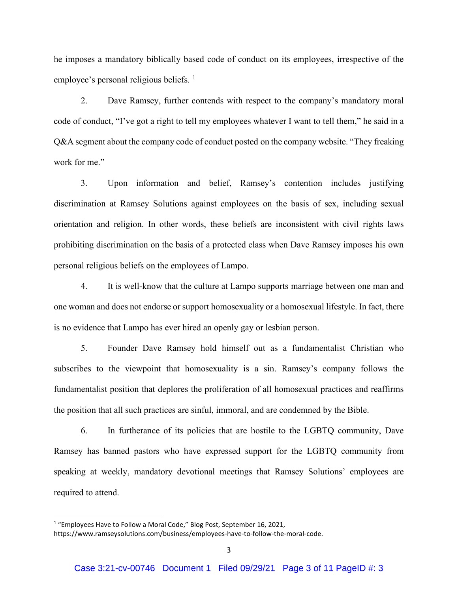he imposes a mandatory biblically based code of conduct on its employees, irrespective of the employee's personal religious beliefs.<sup>[1](#page-2-0)</sup>

2. Dave Ramsey, further contends with respect to the company's mandatory moral code of conduct, "I've got a right to tell my employees whatever I want to tell them," he said in a Q&A segment about the company code of conduct posted on the company website. "They freaking work for me."

3. Upon information and belief, Ramsey's contention includes justifying discrimination at Ramsey Solutions against employees on the basis of sex, including sexual orientation and religion. In other words, these beliefs are inconsistent with civil rights laws prohibiting discrimination on the basis of a protected class when Dave Ramsey imposes his own personal religious beliefs on the employees of Lampo.

4. It is well-know that the culture at Lampo supports marriage between one man and one woman and does not endorse or support homosexuality or a homosexual lifestyle. In fact, there is no evidence that Lampo has ever hired an openly gay or lesbian person.

5. Founder Dave Ramsey hold himself out as a fundamentalist Christian who subscribes to the viewpoint that homosexuality is a sin. Ramsey's company follows the fundamentalist position that deplores the proliferation of all homosexual practices and reaffirms the position that all such practices are sinful, immoral, and are condemned by the Bible.

6. In furtherance of its policies that are hostile to the LGBTQ community, Dave Ramsey has banned pastors who have expressed support for the LGBTQ community from speaking at weekly, mandatory devotional meetings that Ramsey Solutions' employees are required to attend.

<span id="page-2-0"></span><sup>&</sup>lt;sup>1</sup> "Employees Have to Follow a Moral Code," Blog Post, September 16, 2021, https://www.ramseysolutions.com/business/employees-have-to-follow-the-moral-code.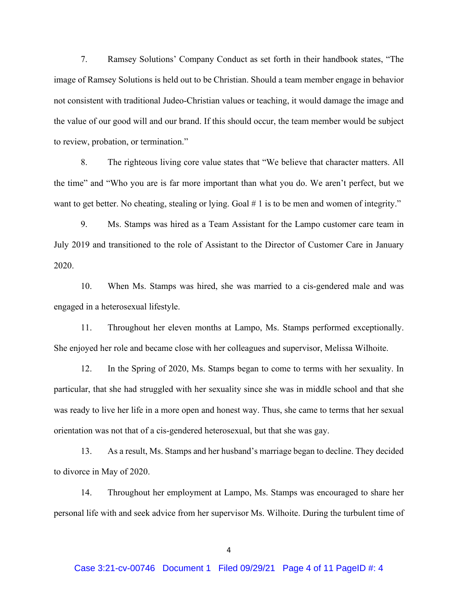7. Ramsey Solutions' Company Conduct as set forth in their handbook states, "The image of Ramsey Solutions is held out to be Christian. Should a team member engage in behavior not consistent with traditional Judeo-Christian values or teaching, it would damage the image and the value of our good will and our brand. If this should occur, the team member would be subject to review, probation, or termination."

8. The righteous living core value states that "We believe that character matters. All the time" and "Who you are is far more important than what you do. We aren't perfect, but we want to get better. No cheating, stealing or lying. Goal # 1 is to be men and women of integrity."

9. Ms. Stamps was hired as a Team Assistant for the Lampo customer care team in July 2019 and transitioned to the role of Assistant to the Director of Customer Care in January 2020.

10. When Ms. Stamps was hired, she was married to a cis-gendered male and was engaged in a heterosexual lifestyle.

11. Throughout her eleven months at Lampo, Ms. Stamps performed exceptionally. She enjoyed her role and became close with her colleagues and supervisor, Melissa Wilhoite.

12. In the Spring of 2020, Ms. Stamps began to come to terms with her sexuality. In particular, that she had struggled with her sexuality since she was in middle school and that she was ready to live her life in a more open and honest way. Thus, she came to terms that her sexual orientation was not that of a cis-gendered heterosexual, but that she was gay.

13. As a result, Ms. Stamps and her husband's marriage began to decline. They decided to divorce in May of 2020.

14. Throughout her employment at Lampo, Ms. Stamps was encouraged to share her personal life with and seek advice from her supervisor Ms. Wilhoite. During the turbulent time of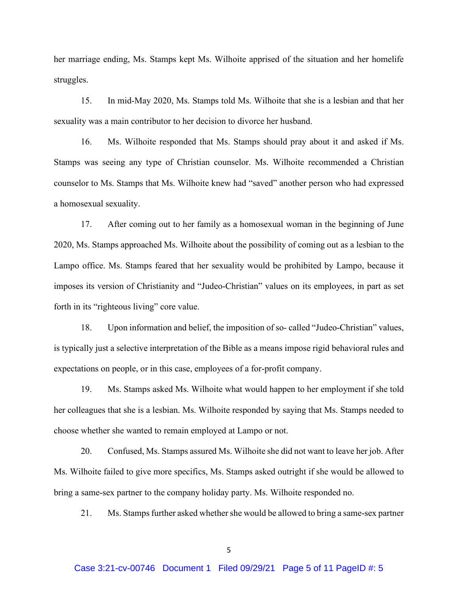her marriage ending, Ms. Stamps kept Ms. Wilhoite apprised of the situation and her homelife struggles.

15. In mid-May 2020, Ms. Stamps told Ms. Wilhoite that she is a lesbian and that her sexuality was a main contributor to her decision to divorce her husband.

16. Ms. Wilhoite responded that Ms. Stamps should pray about it and asked if Ms. Stamps was seeing any type of Christian counselor. Ms. Wilhoite recommended a Christian counselor to Ms. Stamps that Ms. Wilhoite knew had "saved" another person who had expressed a homosexual sexuality.

17. After coming out to her family as a homosexual woman in the beginning of June 2020, Ms. Stamps approached Ms. Wilhoite about the possibility of coming out as a lesbian to the Lampo office. Ms. Stamps feared that her sexuality would be prohibited by Lampo, because it imposes its version of Christianity and "Judeo-Christian" values on its employees, in part as set forth in its "righteous living" core value.

18. Upon information and belief, the imposition of so- called "Judeo-Christian" values, is typically just a selective interpretation of the Bible as a means impose rigid behavioral rules and expectations on people, or in this case, employees of a for-profit company.

19. Ms. Stamps asked Ms. Wilhoite what would happen to her employment if she told her colleagues that she is a lesbian. Ms. Wilhoite responded by saying that Ms. Stamps needed to choose whether she wanted to remain employed at Lampo or not.

20. Confused, Ms. Stamps assured Ms. Wilhoite she did not want to leave her job. After Ms. Wilhoite failed to give more specifics, Ms. Stamps asked outright if she would be allowed to bring a same-sex partner to the company holiday party. Ms. Wilhoite responded no.

21. Ms. Stamps further asked whether she would be allowed to bring a same-sex partner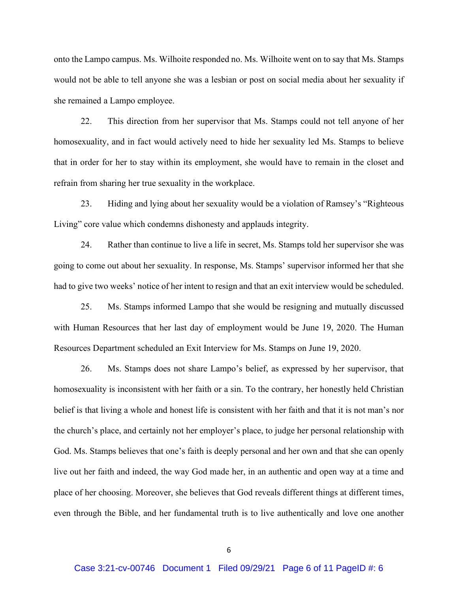onto the Lampo campus. Ms. Wilhoite responded no. Ms. Wilhoite went on to say that Ms. Stamps would not be able to tell anyone she was a lesbian or post on social media about her sexuality if she remained a Lampo employee.

22. This direction from her supervisor that Ms. Stamps could not tell anyone of her homosexuality, and in fact would actively need to hide her sexuality led Ms. Stamps to believe that in order for her to stay within its employment, she would have to remain in the closet and refrain from sharing her true sexuality in the workplace.

23. Hiding and lying about her sexuality would be a violation of Ramsey's "Righteous Living" core value which condemns dishonesty and applauds integrity.

24. Rather than continue to live a life in secret, Ms. Stamps told her supervisor she was going to come out about her sexuality. In response, Ms. Stamps' supervisor informed her that she had to give two weeks' notice of her intent to resign and that an exit interview would be scheduled.

25. Ms. Stamps informed Lampo that she would be resigning and mutually discussed with Human Resources that her last day of employment would be June 19, 2020. The Human Resources Department scheduled an Exit Interview for Ms. Stamps on June 19, 2020.

26. Ms. Stamps does not share Lampo's belief, as expressed by her supervisor, that homosexuality is inconsistent with her faith or a sin. To the contrary, her honestly held Christian belief is that living a whole and honest life is consistent with her faith and that it is not man's nor the church's place, and certainly not her employer's place, to judge her personal relationship with God. Ms. Stamps believes that one's faith is deeply personal and her own and that she can openly live out her faith and indeed, the way God made her, in an authentic and open way at a time and place of her choosing. Moreover, she believes that God reveals different things at different times, even through the Bible, and her fundamental truth is to live authentically and love one another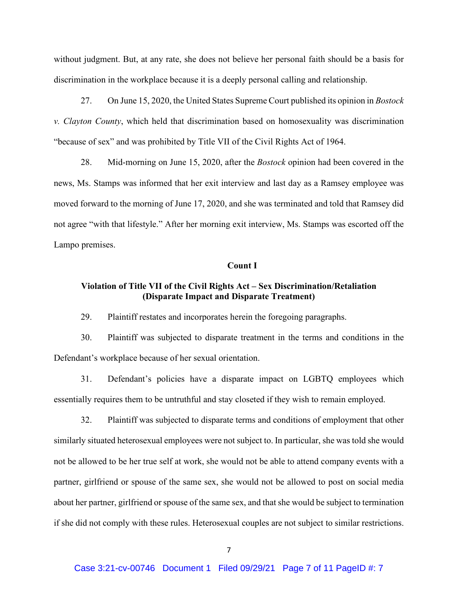without judgment. But, at any rate, she does not believe her personal faith should be a basis for discrimination in the workplace because it is a deeply personal calling and relationship.

27. On June 15, 2020, the United States Supreme Court published its opinion in *Bostock v. Clayton County*, which held that discrimination based on homosexuality was discrimination "because of sex" and was prohibited by Title VII of the Civil Rights Act of 1964.

28. Mid-morning on June 15, 2020, after the *Bostock* opinion had been covered in the news, Ms. Stamps was informed that her exit interview and last day as a Ramsey employee was moved forward to the morning of June 17, 2020, and she was terminated and told that Ramsey did not agree "with that lifestyle." After her morning exit interview, Ms. Stamps was escorted off the Lampo premises.

#### **Count I**

# **Violation of Title VII of the Civil Rights Act – Sex Discrimination/Retaliation (Disparate Impact and Disparate Treatment)**

29. Plaintiff restates and incorporates herein the foregoing paragraphs.

30. Plaintiff was subjected to disparate treatment in the terms and conditions in the Defendant's workplace because of her sexual orientation.

31. Defendant's policies have a disparate impact on LGBTQ employees which essentially requires them to be untruthful and stay closeted if they wish to remain employed.

32. Plaintiff was subjected to disparate terms and conditions of employment that other similarly situated heterosexual employees were not subject to. In particular, she was told she would not be allowed to be her true self at work, she would not be able to attend company events with a partner, girlfriend or spouse of the same sex, she would not be allowed to post on social media about her partner, girlfriend or spouse of the same sex, and that she would be subject to termination if she did not comply with these rules. Heterosexual couples are not subject to similar restrictions.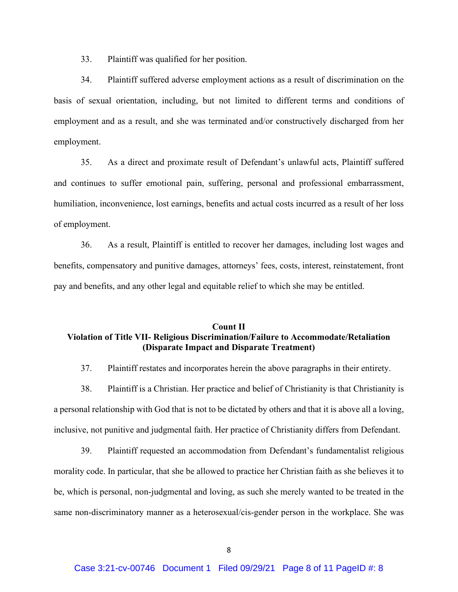33. Plaintiff was qualified for her position.

34. Plaintiff suffered adverse employment actions as a result of discrimination on the basis of sexual orientation, including, but not limited to different terms and conditions of employment and as a result, and she was terminated and/or constructively discharged from her employment.

35. As a direct and proximate result of Defendant's unlawful acts, Plaintiff suffered and continues to suffer emotional pain, suffering, personal and professional embarrassment, humiliation, inconvenience, lost earnings, benefits and actual costs incurred as a result of her loss of employment.

36. As a result, Plaintiff is entitled to recover her damages, including lost wages and benefits, compensatory and punitive damages, attorneys' fees, costs, interest, reinstatement, front pay and benefits, and any other legal and equitable relief to which she may be entitled.

# **Count II Violation of Title VII- Religious Discrimination/Failure to Accommodate/Retaliation (Disparate Impact and Disparate Treatment)**

37. Plaintiff restates and incorporates herein the above paragraphs in their entirety.

38. Plaintiff is a Christian. Her practice and belief of Christianity is that Christianity is a personal relationship with God that is not to be dictated by others and that it is above all a loving, inclusive, not punitive and judgmental faith. Her practice of Christianity differs from Defendant.

39. Plaintiff requested an accommodation from Defendant's fundamentalist religious morality code. In particular, that she be allowed to practice her Christian faith as she believes it to be, which is personal, non-judgmental and loving, as such she merely wanted to be treated in the same non-discriminatory manner as a heterosexual/cis-gender person in the workplace. She was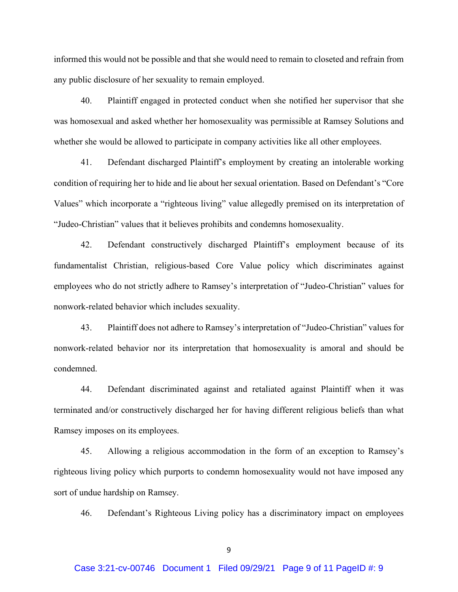informed this would not be possible and that she would need to remain to closeted and refrain from any public disclosure of her sexuality to remain employed.

40. Plaintiff engaged in protected conduct when she notified her supervisor that she was homosexual and asked whether her homosexuality was permissible at Ramsey Solutions and whether she would be allowed to participate in company activities like all other employees.

41. Defendant discharged Plaintiff's employment by creating an intolerable working condition of requiring her to hide and lie about her sexual orientation. Based on Defendant's "Core Values" which incorporate a "righteous living" value allegedly premised on its interpretation of "Judeo-Christian" values that it believes prohibits and condemns homosexuality.

42. Defendant constructively discharged Plaintiff's employment because of its fundamentalist Christian, religious-based Core Value policy which discriminates against employees who do not strictly adhere to Ramsey's interpretation of "Judeo-Christian" values for nonwork-related behavior which includes sexuality.

43. Plaintiff does not adhere to Ramsey's interpretation of "Judeo-Christian" values for nonwork-related behavior nor its interpretation that homosexuality is amoral and should be condemned.

44. Defendant discriminated against and retaliated against Plaintiff when it was terminated and/or constructively discharged her for having different religious beliefs than what Ramsey imposes on its employees.

45. Allowing a religious accommodation in the form of an exception to Ramsey's righteous living policy which purports to condemn homosexuality would not have imposed any sort of undue hardship on Ramsey.

46. Defendant's Righteous Living policy has a discriminatory impact on employees

9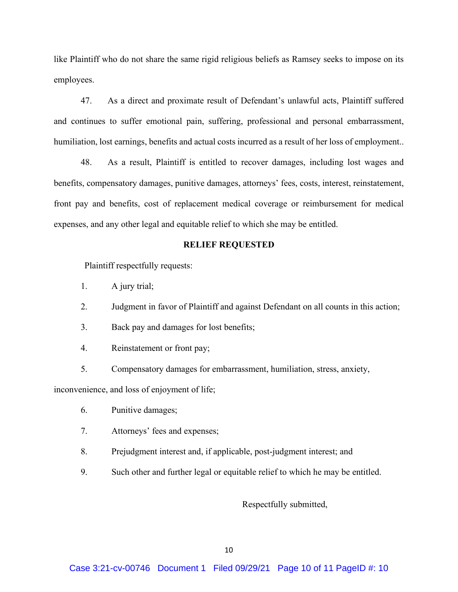like Plaintiff who do not share the same rigid religious beliefs as Ramsey seeks to impose on its employees.

47. As a direct and proximate result of Defendant's unlawful acts, Plaintiff suffered and continues to suffer emotional pain, suffering, professional and personal embarrassment, humiliation, lost earnings, benefits and actual costs incurred as a result of her loss of employment..

48. As a result, Plaintiff is entitled to recover damages, including lost wages and benefits, compensatory damages, punitive damages, attorneys' fees, costs, interest, reinstatement, front pay and benefits, cost of replacement medical coverage or reimbursement for medical expenses, and any other legal and equitable relief to which she may be entitled.

### **RELIEF REQUESTED**

Plaintiff respectfully requests:

1. A jury trial;

- 2. Judgment in favor of Plaintiff and against Defendant on all counts in this action;
- 3. Back pay and damages for lost benefits;
- 4. Reinstatement or front pay;
- 5. Compensatory damages for embarrassment, humiliation, stress, anxiety,

inconvenience, and loss of enjoyment of life;

- 6. Punitive damages;
- 7. Attorneys' fees and expenses;
- 8. Prejudgment interest and, if applicable, post-judgment interest; and
- 9. Such other and further legal or equitable relief to which he may be entitled.

Respectfully submitted,